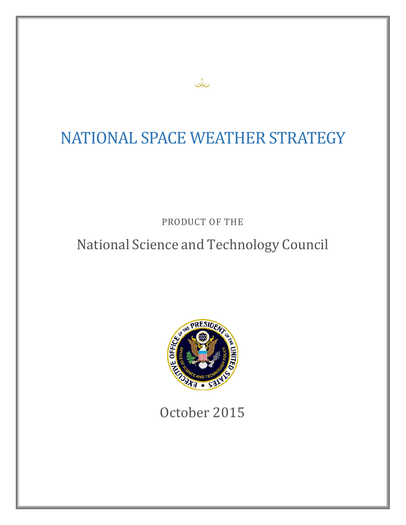# NATIONAL SPACE WEATHER STRATEGY

ىك

PRODUCT OF THE

# National Science and Technology Council



October 2015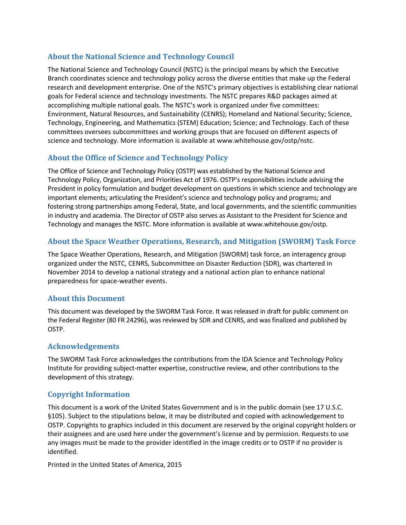## **About the National Science and Technology Council**

The National Science and Technology Council (NSTC) is the principal means by which the Executive Branch coordinates science and technology policy across the diverse entities that make up the Federal research and development enterprise. One of the NSTC's primary objectives is establishing clear national goals for Federal science and technology investments. The NSTC prepares R&D packages aimed at accomplishing multiple national goals. The NSTC's work is organized under five committees: Environment, Natural Resources, and Sustainability (CENRS); Homeland and National Security; Science, Technology, Engineering, and Mathematics (STEM) Education; Science; and Technology. Each of these committees oversees subcommittees and working groups that are focused on different aspects of science and technology. More information is available at [www.whitehouse.gov/ostp/nstc.](http://www.whitehouse.gov/ostp/nstc)

## **About the Office of Science and Technology Policy**

The Office of Science and Technology Policy (OSTP) was established by the National Science and Technology Policy, Organization, and Priorities Act of 1976. OSTP's responsibilities include advising the President in policy formulation and budget development on questions in which science and technology are important elements; articulating the President's science and technology policy and programs; and fostering strong partnerships among Federal, State, and local governments, and the scientific communities in industry and academia. The Director of OSTP also serves as Assistant to the President for Science and Technology and manages the NSTC. More information is available a[t www.whitehouse.gov/ostp.](http://www.whitehouse.gov/ostp)

## **About the Space Weather Operations, Research, and Mitigation (SWORM) Task Force**

The Space Weather Operations, Research, and Mitigation (SWORM) task force, an interagency group organized under the NSTC, CENRS, Subcommittee on Disaster Reduction (SDR), was chartered in November 2014 to develop a national strategy and a national action plan to enhance national preparedness for space-weather events.

## **About this Document**

This document was developed by the SWORM Task Force. It was released in draft for public comment on the Federal Register (80 FR 24296), was reviewed by SDR and CENRS, and was finalized and published by OSTP.

## **Acknowledgements**

The SWORM Task Force acknowledges the contributions from the IDA Science and Technology Policy Institute for providing subject-matter expertise, constructive review, and other contributions to the development of this strategy.

## **Copyright Information**

This document is a work of the United States Government and is in the public domain (see 17 U.S.C. §105). Subject to the stipulations below, it may be distributed and copied with acknowledgement to OSTP. Copyrights to graphics included in this document are reserved by the original copyright holders or their assignees and are used here under the government's license and by permission. Requests to use any images must be made to the provider identified in the image credits or to OSTP if no provider is identified.

Printed in the United States of America, 2015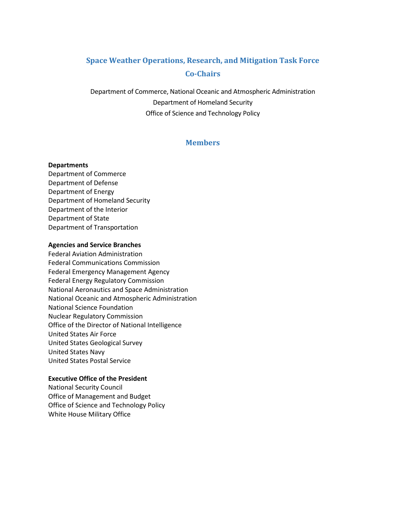# **Space Weather Operations, Research, and Mitigation Task Force Co-Chairs**

Department of Commerce, National Oceanic and Atmospheric Administration Department of Homeland Security Office of Science and Technology Policy

## **Members**

#### **Departments**

Department of Commerce Department of Defense Department of Energy Department of Homeland Security Department of the Interior Department of State Department of Transportation

#### **Agencies and Service Branches**

Federal Aviation Administration Federal Communications Commission Federal Emergency Management Agency Federal Energy Regulatory Commission National Aeronautics and Space Administration National Oceanic and Atmospheric Administration National Science Foundation Nuclear Regulatory Commission Office of the Director of National Intelligence United States Air Force United States Geological Survey United States Navy United States Postal Service

#### **Executive Office of the President**

National Security Council Office of Management and Budget Office of Science and Technology Policy White House Military Office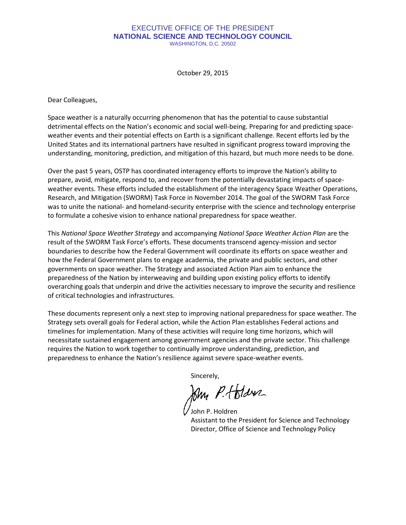#### EXECUTIVE OFFICE OF THE PRESIDENT **NATIONAL SCIENCE AND TECHNOLOGY COUNCIL** WASHINGTON, D.C. 20502

October 29, 2015

Dear Colleagues,

Space weather is a naturally occurring phenomenon that has the potential to cause substantial detrimental effects on the Nation's economic and social well-being. Preparing for and predicting spaceweather events and their potential effects on Earth is a significant challenge. Recent efforts led by the United States and its international partners have resulted in significant progress toward improving the understanding, monitoring, prediction, and mitigation of this hazard, but much more needs to be done.

Over the past 5 years, OSTP has coordinated interagency efforts to improve the Nation's ability to prepare, avoid, mitigate, respond to, and recover from the potentially devastating impacts of spaceweather events. These efforts included the establishment of the interagency Space Weather Operations, Research, and Mitigation (SWORM) Task Force in November 2014. The goal of the SWORM Task Force was to unite the national- and homeland-security enterprise with the science and technology enterprise to formulate a cohesive vision to enhance national preparedness for space weather.

This *National Space Weather Strategy* and accompanying *National Space Weather Action Plan* are the result of the SWORM Task Force's efforts. These documents transcend agency-mission and sector boundaries to describe how the Federal Government will coordinate its efforts on space weather and how the Federal Government plans to engage academia, the private and public sectors, and other governments on space weather. The Strategy and associated Action Plan aim to enhance the preparedness of the Nation by interweaving and building upon existing policy efforts to identify overarching goals that underpin and drive the activities necessary to improve the security and resilience of critical technologies and infrastructures.

These documents represent only a next step to improving national preparedness for space weather. The Strategy sets overall goals for Federal action, while the Action Plan establishes Federal actions and timelines for implementation. Many of these activities will require long time horizons, which will necessitate sustained engagement among government agencies and the private sector. This challenge requires the Nation to work together to continually improve understanding, prediction, and preparedness to enhance the Nation's resilience against severe space-weather events.

Sincerely,

Jam P. Holder

John P. Holdren Assistant to the President for Science and Technology Director, Office of Science and Technology Policy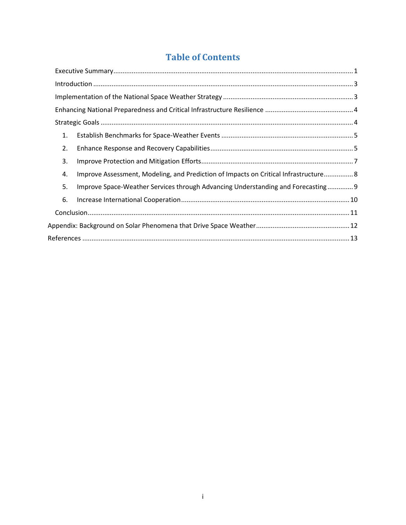# **Table of Contents**

|    | $\label{eq:1} \mbox{Introduction}\,\, \ldots \,\, \ldots \,\, \ldots \,\, \ldots \,\, \ldots \,\, \ldots \,\, \ldots \,\, \ldots \,\, \ldots \,\, \ldots \,\, \ldots \,\, \ldots \,\, \ldots \,\, \ldots \,\, \ldots \,\, \ldots \,\, \ldots \,\, \ldots \,\, \ldots \,\, \ldots \,\, \ldots \,\, \ldots \,\, \ldots \,\, \ldots \,\, \ldots \,\, \ldots \,\, \ldots \,\, \ldots \,\, \ldots \,\, \ldots \,\, \ldots \,\, \ldots \,\, \ldots \,\, \ldots \,\, \$ |  |  |
|----|------------------------------------------------------------------------------------------------------------------------------------------------------------------------------------------------------------------------------------------------------------------------------------------------------------------------------------------------------------------------------------------------------------------------------------------------------------------|--|--|
|    |                                                                                                                                                                                                                                                                                                                                                                                                                                                                  |  |  |
|    |                                                                                                                                                                                                                                                                                                                                                                                                                                                                  |  |  |
|    |                                                                                                                                                                                                                                                                                                                                                                                                                                                                  |  |  |
| 1. |                                                                                                                                                                                                                                                                                                                                                                                                                                                                  |  |  |
| 2. |                                                                                                                                                                                                                                                                                                                                                                                                                                                                  |  |  |
| 3. |                                                                                                                                                                                                                                                                                                                                                                                                                                                                  |  |  |
| 4. | Improve Assessment, Modeling, and Prediction of Impacts on Critical Infrastructure 8                                                                                                                                                                                                                                                                                                                                                                             |  |  |
| 5. | Improve Space-Weather Services through Advancing Understanding and Forecasting 9                                                                                                                                                                                                                                                                                                                                                                                 |  |  |
| 6. |                                                                                                                                                                                                                                                                                                                                                                                                                                                                  |  |  |
|    |                                                                                                                                                                                                                                                                                                                                                                                                                                                                  |  |  |
|    |                                                                                                                                                                                                                                                                                                                                                                                                                                                                  |  |  |
|    |                                                                                                                                                                                                                                                                                                                                                                                                                                                                  |  |  |
|    |                                                                                                                                                                                                                                                                                                                                                                                                                                                                  |  |  |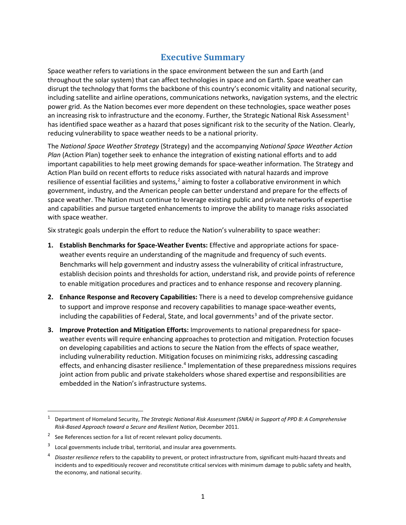# **Executive Summary**

<span id="page-5-0"></span>Space weather refers to variations in the space environment between the sun and Earth (and throughout the solar system) that can affect technologies in space and on Earth. Space weather can disrupt the technology that forms the backbone of this country's economic vitality and national security, including satellite and airline operations, communications networks, navigation systems, and the electric power grid. As the Nation becomes ever more dependent on these technologies, space weather poses an increasing risk to infrastructure and the economy. Further, the Strategic National Risk Assessment<sup>[1](#page-5-1)</sup> has identified space weather as a hazard that poses significant risk to the security of the Nation. Clearly, reducing vulnerability to space weather needs to be a national priority.

The *National Space Weather Strategy* (Strategy) and the accompanying *National Space Weather Action Plan* (Action Plan) together seek to enhance the integration of existing national efforts and to add important capabilities to help meet growing demands for space-weather information. The Strategy and Action Plan build on recent efforts to reduce risks associated with natural hazards and improve resilience of essential facilities and systems,<sup>[2](#page-5-2)</sup> aiming to foster a collaborative environment in which government, industry, and the American people can better understand and prepare for the effects of space weather. The Nation must continue to leverage existing public and private networks of expertise and capabilities and pursue targeted enhancements to improve the ability to manage risks associated with space weather.

Six strategic goals underpin the effort to reduce the Nation's vulnerability to space weather:

- **1. Establish Benchmarks for Space-Weather Events:** Effective and appropriate actions for spaceweather events require an understanding of the magnitude and frequency of such events. Benchmarks will help government and industry assess the vulnerability of critical infrastructure, establish decision points and thresholds for action, understand risk, and provide points of reference to enable mitigation procedures and practices and to enhance response and recovery planning.
- **2. Enhance Response and Recovery Capabilities:** There is a need to develop comprehensive guidance to support and improve response and recovery capabilities to manage space-weather events, including the capabilities of Federal, State, and local governments<sup>[3](#page-5-3)</sup> and of the private sector.
- **3. Improve Protection and Mitigation Efforts:** Improvements to national preparedness for spaceweather events will require enhancing approaches to protection and mitigation. Protection focuses on developing capabilities and actions to secure the Nation from the effects of space weather, including vulnerability reduction. Mitigation focuses on minimizing risks, addressing cascading effects, and enhancing disaster resilience.<sup>[4](#page-5-4)</sup> Implementation of these preparedness missions requires joint action from public and private stakeholders whose shared expertise and responsibilities are embedded in the Nation's infrastructure systems.

<span id="page-5-1"></span> <sup>1</sup> Department of Homeland Security, *The Strategic National Risk Assessment (SNRA) in Support of PPD 8: A Comprehensive Risk-Based Approach toward a Secure and Resilient Nation*, December 2011.

<span id="page-5-2"></span><sup>&</sup>lt;sup>2</sup> See References section for a list of recent relevant policy documents.

<span id="page-5-3"></span> $3$  Local governments include tribal, territorial, and insular area governments.

<span id="page-5-4"></span><sup>4</sup> *Disaster resilience* refers to the capability to prevent, or protect infrastructure from, significant multi-hazard threats and incidents and to expeditiously recover and reconstitute critical services with minimum damage to public safety and health, the economy, and national security.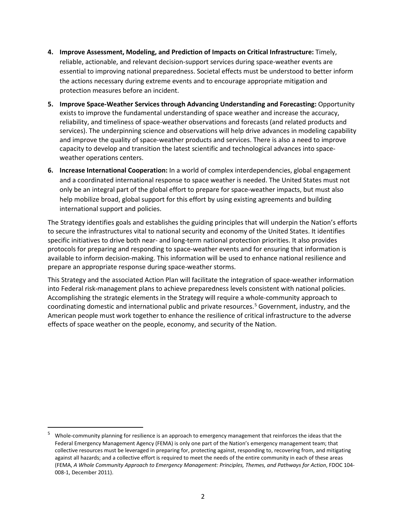- **4. Improve Assessment, Modeling, and Prediction of Impacts on Critical Infrastructure:** Timely, reliable, actionable, and relevant decision-support services during space-weather events are essential to improving national preparedness. Societal effects must be understood to better inform the actions necessary during extreme events and to encourage appropriate mitigation and protection measures before an incident.
- **5. Improve Space-Weather Services through Advancing Understanding and Forecasting:** Opportunity exists to improve the fundamental understanding of space weather and increase the accuracy, reliability, and timeliness of space-weather observations and forecasts (and related products and services). The underpinning science and observations will help drive advances in modeling capability and improve the quality of space-weather products and services. There is also a need to improve capacity to develop and transition the latest scientific and technological advances into spaceweather operations centers.
- **6. Increase International Cooperation:** In a world of complex interdependencies, global engagement and a coordinated international response to space weather is needed. The United States must not only be an integral part of the global effort to prepare for space-weather impacts, but must also help mobilize broad, global support for this effort by using existing agreements and building international support and policies.

The Strategy identifies goals and establishes the guiding principles that will underpin the Nation's efforts to secure the infrastructures vital to national security and economy of the United States. It identifies specific initiatives to drive both near- and long-term national protection priorities. It also provides protocols for preparing and responding to space-weather events and for ensuring that information is available to inform decision-making. This information will be used to enhance national resilience and prepare an appropriate response during space-weather storms.

This Strategy and the associated Action Plan will facilitate the integration of space-weather information into Federal risk-management plans to achieve preparedness levels consistent with national policies. Accomplishing the strategic elements in the Strategy will require a whole-community approach to coordinating domestic and international public and private resources.<sup>[5](#page-6-0)</sup> Government, industry, and the American people must work together to enhance the resilience of critical infrastructure to the adverse effects of space weather on the people, economy, and security of the Nation.

<span id="page-6-0"></span> <sup>5</sup> Whole-community planning for resilience is an approach to emergency management that reinforces the ideas that the Federal Emergency Management Agency (FEMA) is only one part of the Nation's emergency management team; that collective resources must be leveraged in preparing for, protecting against, responding to, recovering from, and mitigating against all hazards; and a collective effort is required to meet the needs of the entire community in each of these areas (FEMA, *A Whole Community Approach to Emergency Management: Principles, Themes, and Pathways for Action*, FDOC 104- 008-1, December 2011).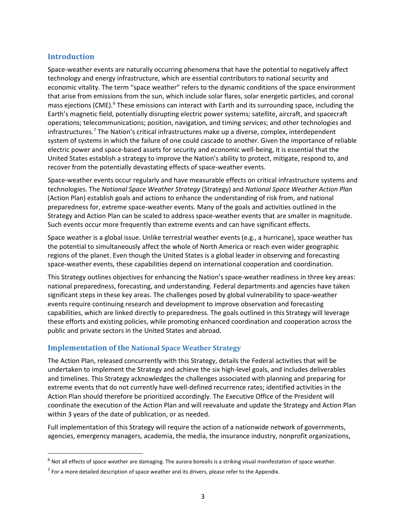## <span id="page-7-0"></span>**Introduction**

Space-weather events are naturally occurring phenomena that have the potential to negatively affect technology and energy infrastructure, which are essential contributors to national security and economic vitality. The term "space weather" refers to the dynamic conditions of the space environment that arise from emissions from the sun, which include solar flares, solar energetic particles, and coronal mass ejections (CME).<sup>[6](#page-7-2)</sup> These emissions can interact with Earth and its surrounding space, including the Earth's magnetic field, potentially disrupting electric power systems; satellite, aircraft, and spacecraft operations; telecommunications; position, navigation, and timing services; and other technologies and infrastructures. [7](#page-7-3) The Nation's critical infrastructures make up a diverse, complex, interdependent system of systems in which the failure of one could cascade to another. Given the importance of reliable electric power and space-based assets for security and economic well-being, it is essential that the United States establish a strategy to improve the Nation's ability to protect, mitigate, respond to, and recover from the potentially devastating effects of space-weather events.

Space-weather events occur regularly and have measurable effects on critical infrastructure systems and technologies. The *National Space Weather Strategy* (Strategy) and *National Space Weather Action Plan* (Action Plan) establish goals and actions to enhance the understanding of risk from, and national preparedness for, extreme space-weather events. Many of the goals and activities outlined in the Strategy and Action Plan can be scaled to address space-weather events that are smaller in magnitude. Such events occur more frequently than extreme events and can have significant effects.

Space weather is a global issue. Unlike terrestrial weather events (e.g., a hurricane), space weather has the potential to simultaneously affect the whole of North America or reach even wider geographic regions of the planet. Even though the United States is a global leader in observing and forecasting space-weather events, these capabilities depend on international cooperation and coordination.

This Strategy outlines objectives for enhancing the Nation's space-weather readiness in three key areas: national preparedness, forecasting, and understanding. Federal departments and agencies have taken significant steps in these key areas. The challenges posed by global vulnerability to space-weather events require continuing research and development to improve observation and forecasting capabilities, which are linked directly to preparedness. The goals outlined in this Strategy will leverage these efforts and existing policies, while promoting enhanced coordination and cooperation across the public and private sectors in the United States and abroad.

## <span id="page-7-1"></span>**Implementation of the National Space Weather Strategy**

The Action Plan, released concurrently with this Strategy, details the Federal activities that will be undertaken to implement the Strategy and achieve the six high-level goals, and includes deliverables and timelines. This Strategy acknowledges the challenges associated with planning and preparing for extreme events that do not currently have well-defined recurrence rates; identified activities in the Action Plan should therefore be prioritized accordingly. The Executive Office of the President will coordinate the execution of the Action Plan and will reevaluate and update the Strategy and Action Plan within 3 years of the date of publication, or as needed.

Full implementation of this Strategy will require the action of a nationwide network of governments, agencies, emergency managers, academia, the media, the insurance industry, nonprofit organizations,

<span id="page-7-2"></span> $6$  Not all effects of space weather are damaging. The aurora borealis is a striking visual manifestation of space weather.

<span id="page-7-3"></span> $<sup>7</sup>$  For a more detailed description of space weather and its drivers, please refer to the Appendix.</sup>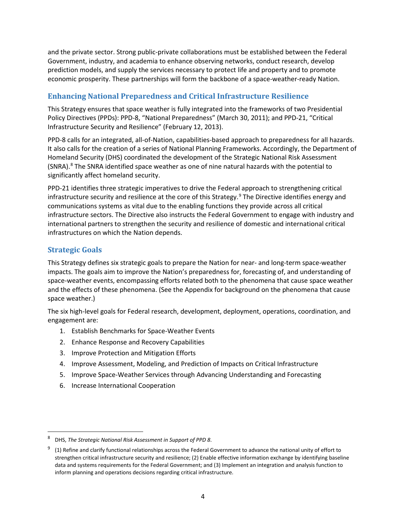and the private sector. Strong public-private collaborations must be established between the Federal Government, industry, and academia to enhance observing networks, conduct research, develop prediction models, and supply the services necessary to protect life and property and to promote economic prosperity. These partnerships will form the backbone of a space-weather-ready Nation.

## <span id="page-8-0"></span>**Enhancing National Preparedness and Critical Infrastructure Resilience**

This Strategy ensures that space weather is fully integrated into the frameworks of two Presidential Policy Directives (PPDs): PPD-8, "National Preparedness" (March 30, 2011); and PPD-21, "Critical Infrastructure Security and Resilience" (February 12, 2013).

PPD-8 calls for an integrated, all-of-Nation, capabilities-based approach to preparedness for all hazards. It also calls for the creation of a series of National Planning Frameworks. Accordingly, the Department of Homeland Security (DHS) coordinated the development of the Strategic National Risk Assessment (SNRA).<sup>[8](#page-8-2)</sup> The SNRA identified space weather as one of nine natural hazards with the potential to significantly affect homeland security.

PPD-21 identifies three strategic imperatives to drive the Federal approach to strengthening critical infrastructure security and resilience at the core of this Strategy.<sup>[9](#page-8-3)</sup> The Directive identifies energy and communications systems as vital due to the enabling functions they provide across all critical infrastructure sectors. The Directive also instructs the Federal Government to engage with industry and international partners to strengthen the security and resilience of domestic and international critical infrastructures on which the Nation depends.

## <span id="page-8-1"></span>**Strategic Goals**

This Strategy defines six strategic goals to prepare the Nation for near- and long-term space-weather impacts. The goals aim to improve the Nation's preparedness for, forecasting of, and understanding of space-weather events, encompassing efforts related both to the phenomena that cause space weather and the effects of these phenomena. (See the Appendix for background on the phenomena that cause space weather.)

The six high-level goals for Federal research, development, deployment, operations, coordination, and engagement are:

- 1. Establish Benchmarks for Space-Weather Events
- 2. Enhance Response and Recovery Capabilities
- 3. Improve Protection and Mitigation Efforts
- 4. Improve Assessment, Modeling, and Prediction of Impacts on Critical Infrastructure
- 5. Improve Space-Weather Services through Advancing Understanding and Forecasting
- 6. Increase International Cooperation

<span id="page-8-2"></span> <sup>8</sup> DHS, *The Strategic National Risk Assessment in Support of PPD 8*.

<span id="page-8-3"></span><sup>9</sup> (1) Refine and clarify functional relationships across the Federal Government to advance the national unity of effort to strengthen critical infrastructure security and resilience; (2) Enable effective information exchange by identifying baseline data and systems requirements for the Federal Government; and (3) Implement an integration and analysis function to inform planning and operations decisions regarding critical infrastructure.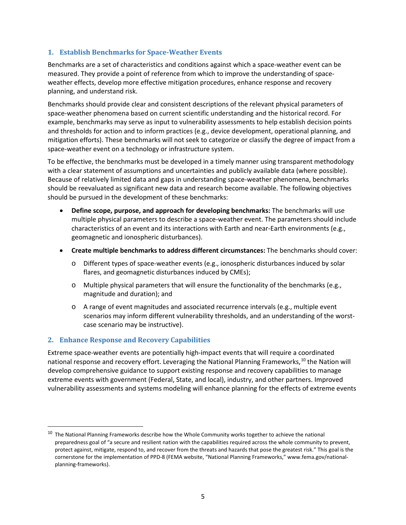## <span id="page-9-0"></span>**1. Establish Benchmarks for Space-Weather Events**

Benchmarks are a set of characteristics and conditions against which a space-weather event can be measured. They provide a point of reference from which to improve the understanding of spaceweather effects, develop more effective mitigation procedures, enhance response and recovery planning, and understand risk.

Benchmarks should provide clear and consistent descriptions of the relevant physical parameters of space-weather phenomena based on current scientific understanding and the historical record. For example, benchmarks may serve as input to vulnerability assessments to help establish decision points and thresholds for action and to inform practices (e.g., device development, operational planning, and mitigation efforts). These benchmarks will not seek to categorize or classify the degree of impact from a space-weather event on a technology or infrastructure system.

To be effective, the benchmarks must be developed in a timely manner using transparent methodology with a clear statement of assumptions and uncertainties and publicly available data (where possible). Because of relatively limited data and gaps in understanding space-weather phenomena, benchmarks should be reevaluated as significant new data and research become available. The following objectives should be pursued in the development of these benchmarks:

- **Define scope, purpose, and approach for developing benchmarks:** The benchmarks will use multiple physical parameters to describe a space-weather event. The parameters should include characteristics of an event and its interactions with Earth and near-Earth environments (e.g., geomagnetic and ionospheric disturbances).
- **Create multiple benchmarks to address different circumstances:** The benchmarks should cover:
	- o Different types of space-weather events (e.g., ionospheric disturbances induced by solar flares, and geomagnetic disturbances induced by CMEs);
	- $\circ$  Multiple physical parameters that will ensure the functionality of the benchmarks (e.g., magnitude and duration); and
	- o A range of event magnitudes and associated recurrence intervals (e.g., multiple event scenarios may inform different vulnerability thresholds, and an understanding of the worstcase scenario may be instructive).

## <span id="page-9-1"></span>**2. Enhance Response and Recovery Capabilities**

Extreme space-weather events are potentially high-impact events that will require a coordinated national response and recovery effort. Leveraging the National Planning Frameworks, $10$  the Nation will develop comprehensive guidance to support existing response and recovery capabilities to manage extreme events with government (Federal, State, and local), industry, and other partners. Improved vulnerability assessments and systems modeling will enhance planning for the effects of extreme events

<span id="page-9-2"></span><sup>&</sup>lt;sup>10</sup> The National Planning Frameworks describe how the Whole Community works together to achieve the national preparedness goal of "a secure and resilient nation with the capabilities required across the whole community to prevent, protect against, mitigate, respond to, and recover from the threats and hazards that pose the greatest risk." This goal is the cornerstone for the implementation of PPD-8 (FEMA website, "National Planning Frameworks,[" www.fema.gov/national](http://www.fema.gov/national-planning-frameworks)[planning-frameworks\)](http://www.fema.gov/national-planning-frameworks).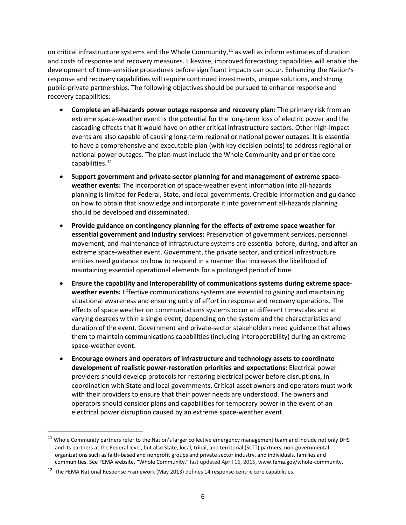on critical infrastructure systems and the Whole Community,<sup>[11](#page-10-0)</sup> as well as inform estimates of duration and costs of response and recovery measures. Likewise, improved forecasting capabilities will enable the development of time-sensitive procedures before significant impacts can occur. Enhancing the Nation's response and recovery capabilities will require continued investments, unique solutions, and strong public-private partnerships. The following objectives should be pursued to enhance response and recovery capabilities:

- **Complete an all-hazards power outage response and recovery plan:** The primary risk from an extreme space-weather event is the potential for the long-term loss of electric power and the cascading effects that it would have on other critical infrastructure sectors. Other high-impact events are also capable of causing long-term regional or national power outages. It is essential to have a comprehensive and executable plan (with key decision points) to address regional or national power outages. The plan must include the Whole Community and prioritize core capabilities.[12](#page-10-1)
- **Support government and private-sector planning for and management of extreme spaceweather events:** The incorporation of space-weather event information into all-hazards planning is limited for Federal, State, and local governments. Credible information and guidance on how to obtain that knowledge and incorporate it into government all-hazards planning should be developed and disseminated.
- **Provide guidance on contingency planning for the effects of extreme space weather for essential government and industry services:** Preservation of government services, personnel movement, and maintenance of infrastructure systems are essential before, during, and after an extreme space-weather event. Government, the private sector, and critical infrastructure entities need guidance on how to respond in a manner that increases the likelihood of maintaining essential operational elements for a prolonged period of time.
- **Ensure the capability and interoperability of communications systems during extreme spaceweather events:** Effective communications systems are essential to gaining and maintaining situational awareness and ensuring unity of effort in response and recovery operations. The effects of space weather on communications systems occur at different timescales and at varying degrees within a single event, depending on the system and the characteristics and duration of the event. Government and private-sector stakeholders need guidance that allows them to maintain communications capabilities (including interoperability) during an extreme space-weather event.
- **Encourage owners and operators of infrastructure and technology assets to coordinate development of realistic power-restoration priorities and expectations:** Electrical power providers should develop protocols for restoring electrical power before disruptions, in coordination with State and local governments. Critical-asset owners and operators must work with their providers to ensure that their power needs are understood. The owners and operators should consider plans and capabilities for temporary power in the event of an electrical power disruption caused by an extreme space-weather event.

<span id="page-10-0"></span> $11$  Whole Community partners refer to the Nation's larger collective emergency management team and include not only DHS and its partners at the Federal level, but also State, local, tribal, and territorial (SLTT) partners, non-governmental organizations such as faith-based and nonprofit groups and private sector industry, and individuals, families and communities. See FEMA website, "Whole Community," last updated April 16, 2015[, www.fema.gov/whole-community.](https://www.fema.gov/whole-community)

<span id="page-10-1"></span><sup>&</sup>lt;sup>12</sup> The FEMA National Response Framework (May 2013) defines 14 response-centric core capabilities.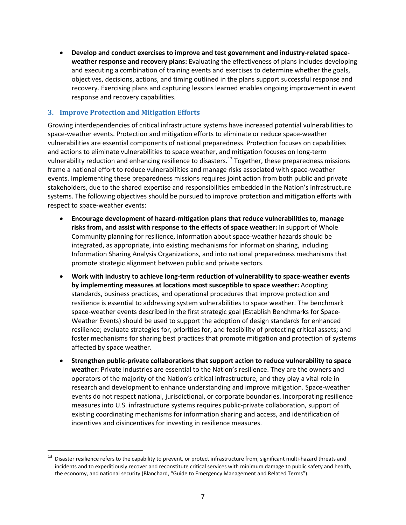• **Develop and conduct exercises to improve and test government and industry-related spaceweather response and recovery plans:** Evaluating the effectiveness of plans includes developing and executing a combination of training events and exercises to determine whether the goals, objectives, decisions, actions, and timing outlined in the plans support successful response and recovery. Exercising plans and capturing lessons learned enables ongoing improvement in event response and recovery capabilities.

## <span id="page-11-0"></span>**3. Improve Protection and Mitigation Efforts**

Growing interdependencies of critical infrastructure systems have increased potential vulnerabilities to space-weather events. Protection and mitigation efforts to eliminate or reduce space-weather vulnerabilities are essential components of national preparedness. Protection focuses on capabilities and actions to eliminate vulnerabilities to space weather, and mitigation focuses on long-term vulnerability reduction and enhancing resilience to disasters. [13](#page-11-1) Together, these preparedness missions frame a national effort to reduce vulnerabilities and manage risks associated with space-weather events. Implementing these preparedness missions requires joint action from both public and private stakeholders, due to the shared expertise and responsibilities embedded in the Nation's infrastructure systems. The following objectives should be pursued to improve protection and mitigation efforts with respect to space-weather events:

- **Encourage development of hazard-mitigation plans that reduce vulnerabilities to, manage risks from, and assist with response to the effects of space weather:** In support of Whole Community planning for resilience, information about space-weather hazards should be integrated, as appropriate, into existing mechanisms for information sharing, including Information Sharing Analysis Organizations, and into national preparedness mechanisms that promote strategic alignment between public and private sectors.
- **Work with industry to achieve long-term reduction of vulnerability to space-weather events by implementing measures at locations most susceptible to space weather:** Adopting standards, business practices, and operational procedures that improve protection and resilience is essential to addressing system vulnerabilities to space weather. The benchmark space-weather events described in the first strategic goal (Establish Benchmarks for Space-Weather Events) should be used to support the adoption of design standards for enhanced resilience; evaluate strategies for, priorities for, and feasibility of protecting critical assets; and foster mechanisms for sharing best practices that promote mitigation and protection of systems affected by space weather.
- **Strengthen public-private collaborations that support action to reduce vulnerability to space weather:** Private industries are essential to the Nation's resilience. They are the owners and operators of the majority of the Nation's critical infrastructure, and they play a vital role in research and development to enhance understanding and improve mitigation. Space-weather events do not respect national, jurisdictional, or corporate boundaries. Incorporating resilience measures into U.S. infrastructure systems requires public-private collaboration, support of existing coordinating mechanisms for information sharing and access, and identification of incentives and disincentives for investing in resilience measures.

<span id="page-11-1"></span><sup>&</sup>lt;sup>13</sup> Disaster resilience refers to the capability to prevent, or protect infrastructure from, significant multi-hazard threats and incidents and to expeditiously recover and reconstitute critical services with minimum damage to public safety and health, the economy, and national security (Blanchard, "Guide to Emergency Management and Related Terms").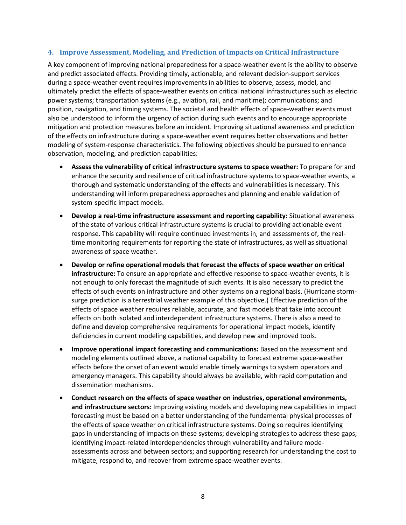### <span id="page-12-0"></span>**4. Improve Assessment, Modeling, and Prediction of Impacts on Critical Infrastructure**

A key component of improving national preparedness for a space-weather event is the ability to observe and predict associated effects. Providing timely, actionable, and relevant decision-support services during a space-weather event requires improvements in abilities to observe, assess, model, and ultimately predict the effects of space-weather events on critical national infrastructures such as electric power systems; transportation systems (e.g., aviation, rail, and maritime); communications; and position, navigation, and timing systems. The societal and health effects of space-weather events must also be understood to inform the urgency of action during such events and to encourage appropriate mitigation and protection measures before an incident. Improving situational awareness and prediction of the effects on infrastructure during a space-weather event requires better observations and better modeling of system-response characteristics. The following objectives should be pursued to enhance observation, modeling, and prediction capabilities:

- **Assess the vulnerability of critical infrastructure systems to space weather:** To prepare for and enhance the security and resilience of critical infrastructure systems to space-weather events, a thorough and systematic understanding of the effects and vulnerabilities is necessary. This understanding will inform preparedness approaches and planning and enable validation of system-specific impact models.
- **Develop a real-time infrastructure assessment and reporting capability:** Situational awareness of the state of various critical infrastructure systems is crucial to providing actionable event response. This capability will require continued investments in, and assessments of, the realtime monitoring requirements for reporting the state of infrastructures, as well as situational awareness of space weather.
- **Develop or refine operational models that forecast the effects of space weather on critical infrastructure:** To ensure an appropriate and effective response to space-weather events, it is not enough to only forecast the magnitude of such events. It is also necessary to predict the effects of such events on infrastructure and other systems on a regional basis. (Hurricane stormsurge prediction is a terrestrial weather example of this objective.) Effective prediction of the effects of space weather requires reliable, accurate, and fast models that take into account effects on both isolated and interdependent infrastructure systems. There is also a need to define and develop comprehensive requirements for operational impact models, identify deficiencies in current modeling capabilities, and develop new and improved tools.
- **Improve operational impact forecasting and communications:** Based on the assessment and modeling elements outlined above, a national capability to forecast extreme space-weather effects before the onset of an event would enable timely warnings to system operators and emergency managers. This capability should always be available, with rapid computation and dissemination mechanisms.
- **Conduct research on the effects of space weather on industries, operational environments, and infrastructure sectors:** Improving existing models and developing new capabilities in impact forecasting must be based on a better understanding of the fundamental physical processes of the effects of space weather on critical infrastructure systems. Doing so requires identifying gaps in understanding of impacts on these systems; developing strategies to address these gaps; identifying impact-related interdependencies through vulnerability and failure modeassessments across and between sectors; and supporting research for understanding the cost to mitigate, respond to, and recover from extreme space-weather events.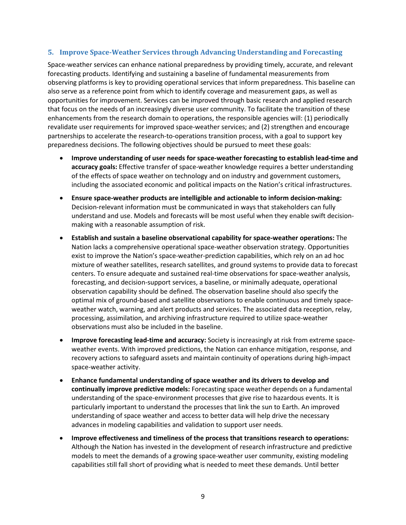### <span id="page-13-0"></span>**5. Improve Space-Weather Services through Advancing Understanding and Forecasting**

Space-weather services can enhance national preparedness by providing timely, accurate, and relevant forecasting products. Identifying and sustaining a baseline of fundamental measurements from observing platforms is key to providing operational services that inform preparedness. This baseline can also serve as a reference point from which to identify coverage and measurement gaps, as well as opportunities for improvement. Services can be improved through basic research and applied research that focus on the needs of an increasingly diverse user community. To facilitate the transition of these enhancements from the research domain to operations, the responsible agencies will: (1) periodically revalidate user requirements for improved space-weather services; and (2) strengthen and encourage partnerships to accelerate the research-to-operations transition process, with a goal to support key preparedness decisions. The following objectives should be pursued to meet these goals:

- **Improve understanding of user needs for space-weather forecasting to establish lead-time and accuracy goals:** Effective transfer of space-weather knowledge requires a better understanding of the effects of space weather on technology and on industry and government customers, including the associated economic and political impacts on the Nation's critical infrastructures.
- **Ensure space-weather products are intelligible and actionable to inform decision-making:**  Decision-relevant information must be communicated in ways that stakeholders can fully understand and use. Models and forecasts will be most useful when they enable swift decisionmaking with a reasonable assumption of risk.
- **Establish and sustain a baseline observational capability for space-weather operations:** The Nation lacks a comprehensive operational space-weather observation strategy. Opportunities exist to improve the Nation's space-weather-prediction capabilities, which rely on an ad hoc mixture of weather satellites, research satellites, and ground systems to provide data to forecast centers. To ensure adequate and sustained real-time observations for space-weather analysis, forecasting, and decision-support services, a baseline, or minimally adequate, operational observation capability should be defined. The observation baseline should also specify the optimal mix of ground-based and satellite observations to enable continuous and timely spaceweather watch, warning, and alert products and services. The associated data reception, relay, processing, assimilation, and archiving infrastructure required to utilize space-weather observations must also be included in the baseline.
- **Improve forecasting lead-time and accuracy:** Society is increasingly at risk from extreme spaceweather events. With improved predictions, the Nation can enhance mitigation, response, and recovery actions to safeguard assets and maintain continuity of operations during high-impact space-weather activity.
- **Enhance fundamental understanding of space weather and its drivers to develop and continually improve predictive models:** Forecasting space weather depends on a fundamental understanding of the space-environment processes that give rise to hazardous events. It is particularly important to understand the processes that link the sun to Earth. An improved understanding of space weather and access to better data will help drive the necessary advances in modeling capabilities and validation to support user needs.
- **Improve effectiveness and timeliness of the process that transitions research to operations:** Although the Nation has invested in the development of research infrastructure and predictive models to meet the demands of a growing space-weather user community, existing modeling capabilities still fall short of providing what is needed to meet these demands. Until better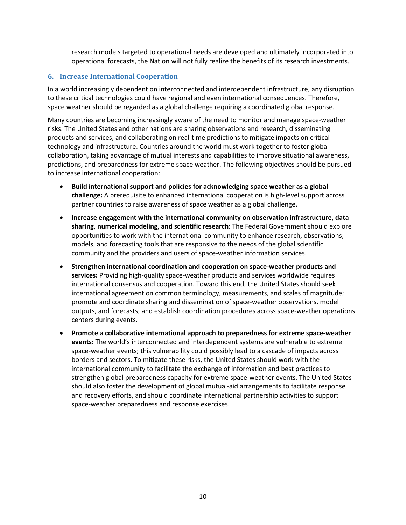research models targeted to operational needs are developed and ultimately incorporated into operational forecasts, the Nation will not fully realize the benefits of its research investments.

## <span id="page-14-0"></span>**6. Increase International Cooperation**

In a world increasingly dependent on interconnected and interdependent infrastructure, any disruption to these critical technologies could have regional and even international consequences. Therefore, space weather should be regarded as a global challenge requiring a coordinated global response.

Many countries are becoming increasingly aware of the need to monitor and manage space-weather risks. The United States and other nations are sharing observations and research, disseminating products and services, and collaborating on real-time predictions to mitigate impacts on critical technology and infrastructure. Countries around the world must work together to foster global collaboration, taking advantage of mutual interests and capabilities to improve situational awareness, predictions, and preparedness for extreme space weather. The following objectives should be pursued to increase international cooperation:

- **Build international support and policies for acknowledging space weather as a global challenge:** A prerequisite to enhanced international cooperation is high-level support across partner countries to raise awareness of space weather as a global challenge.
- **Increase engagement with the international community on observation infrastructure, data sharing, numerical modeling, and scientific research:** The Federal Government should explore opportunities to work with the international community to enhance research, observations, models, and forecasting tools that are responsive to the needs of the global scientific community and the providers and users of space-weather information services.
- **Strengthen international coordination and cooperation on space-weather products and services:** Providing high-quality space-weather products and services worldwide requires international consensus and cooperation. Toward this end, the United States should seek international agreement on common terminology, measurements, and scales of magnitude; promote and coordinate sharing and dissemination of space-weather observations, model outputs, and forecasts; and establish coordination procedures across space-weather operations centers during events.
- **Promote a collaborative international approach to preparedness for extreme space-weather events:** The world's interconnected and interdependent systems are vulnerable to extreme space-weather events; this vulnerability could possibly lead to a cascade of impacts across borders and sectors. To mitigate these risks, the United States should work with the international community to facilitate the exchange of information and best practices to strengthen global preparedness capacity for extreme space-weather events. The United States should also foster the development of global mutual-aid arrangements to facilitate response and recovery efforts, and should coordinate international partnership activities to support space-weather preparedness and response exercises.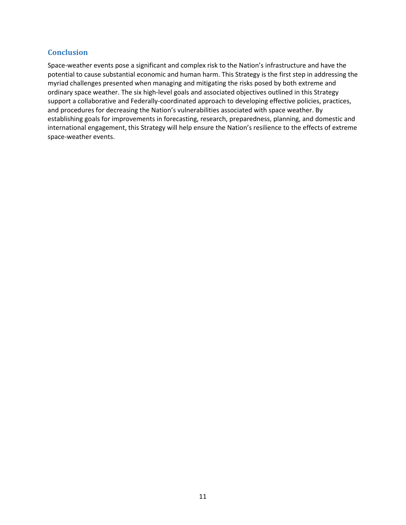## <span id="page-15-0"></span>**Conclusion**

Space-weather events pose a significant and complex risk to the Nation's infrastructure and have the potential to cause substantial economic and human harm. This Strategy is the first step in addressing the myriad challenges presented when managing and mitigating the risks posed by both extreme and ordinary space weather. The six high-level goals and associated objectives outlined in this Strategy support a collaborative and Federally-coordinated approach to developing effective policies, practices, and procedures for decreasing the Nation's vulnerabilities associated with space weather. By establishing goals for improvements in forecasting, research, preparedness, planning, and domestic and international engagement, this Strategy will help ensure the Nation's resilience to the effects of extreme space-weather events.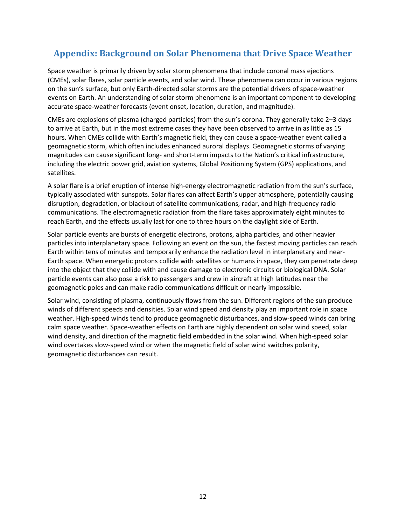# <span id="page-16-0"></span>**Appendix: Background on Solar Phenomena that Drive Space Weather**

Space weather is primarily driven by solar storm phenomena that include coronal mass ejections (CMEs), solar flares, solar particle events, and solar wind. These phenomena can occur in various regions on the sun's surface, but only Earth-directed solar storms are the potential drivers of space-weather events on Earth. An understanding of solar storm phenomena is an important component to developing accurate space-weather forecasts (event onset, location, duration, and magnitude).

CMEs are explosions of plasma (charged particles) from the sun's corona. They generally take 2–3 days to arrive at Earth, but in the most extreme cases they have been observed to arrive in as little as 15 hours. When CMEs collide with Earth's magnetic field, they can cause a space-weather event called a geomagnetic storm, which often includes enhanced auroral displays. Geomagnetic storms of varying magnitudes can cause significant long- and short-term impacts to the Nation's critical infrastructure, including the electric power grid, aviation systems, Global Positioning System (GPS) applications, and satellites.

A solar flare is a brief eruption of intense high-energy electromagnetic radiation from the sun's surface, typically associated with sunspots. Solar flares can affect Earth's upper atmosphere, potentially causing disruption, degradation, or blackout of satellite communications, radar, and high-frequency radio communications. The electromagnetic radiation from the flare takes approximately eight minutes to reach Earth, and the effects usually last for one to three hours on the daylight side of Earth.

Solar particle events are bursts of energetic electrons, protons, alpha particles, and other heavier particles into interplanetary space. Following an event on the sun, the fastest moving particles can reach Earth within tens of minutes and temporarily enhance the radiation level in interplanetary and near-Earth space. When energetic protons collide with satellites or humans in space, they can penetrate deep into the object that they collide with and cause damage to electronic circuits or biological DNA. Solar particle events can also pose a risk to passengers and crew in aircraft at high latitudes near the geomagnetic poles and can make radio communications difficult or nearly impossible.

Solar wind, consisting of plasma, continuously flows from the sun. Different regions of the sun produce winds of different speeds and densities. Solar wind speed and density play an important role in space weather. High-speed winds tend to produce geomagnetic disturbances, and slow-speed winds can bring calm space weather. Space-weather effects on Earth are highly dependent on solar wind speed, solar wind density, and direction of the magnetic field embedded in the solar wind. When high-speed solar wind overtakes slow-speed wind or when the magnetic field of solar wind switches polarity, geomagnetic disturbances can result.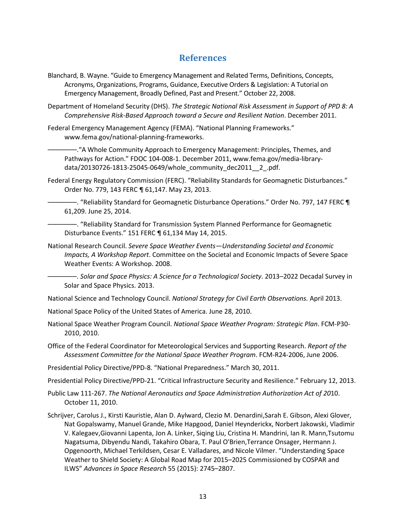## **References**

- <span id="page-17-0"></span>Blanchard, B. Wayne. "Guide to Emergency Management and Related Terms, Definitions, Concepts, Acronyms, Organizations, Programs, Guidance, Executive Orders & Legislation: A Tutorial on Emergency Management, Broadly Defined, Past and Present." October 22, 2008.
- Department of Homeland Security (DHS). *The Strategic National Risk Assessment in Support of PPD 8: A Comprehensive Risk-Based Approach toward a Secure and Resilient Nation*. December 2011.
- Federal Emergency Management Agency (FEMA). "National Planning Frameworks." www.fema.gov/national-planning-frameworks.

––––––––."A Whole Community Approach to Emergency Management: Principles, Themes, and Pathways for Action." FDOC 104-008-1. December 2011, www.fema.gov/media-librarydata/20130726-1813-25045-0649/whole\_community\_dec2011\_\_2\_.pdf.

Federal Energy Regulatory Commission (FERC). "Reliability Standards for Geomagnetic Disturbances." Order No. 779, 143 FERC ¶ 61,147. May 23, 2013.

—. "Reliability Standard for Geomagnetic Disturbance Operations." Order No. 797, 147 FERC 1 61,209. June 25, 2014.

––––––––. "Reliability Standard for Transmission System Planned Performance for Geomagnetic Disturbance Events." 151 FERC ¶ 61,134 May 14, 2015.

National Research Council. *Severe Space Weather Events—Understanding Societal and Economic Impacts, A Workshop Report*. Committee on the Societal and Economic Impacts of Severe Space Weather Events: A Workshop. 2008.

––––––––. *Solar and Space Physics: A Science for a Technological Society*. 2013–2022 Decadal Survey in Solar and Space Physics. 2013.

National Science and Technology Council. *National Strategy for Civil Earth Observations.* April 2013.

National Space Policy of the United States of America. June 28, 2010.

- National Space Weather Program Council. *National Space Weather Program: Strategic Plan*. FCM-P30- 2010, 2010.
- Office of the Federal Coordinator for Meteorological Services and Supporting Research. *Report of the Assessment Committee for the National Space Weather Program*. FCM-R24-2006, June 2006.

Presidential Policy Directive/PPD-8. "National Preparedness." March 30, 2011.

Presidential Policy Directive/PPD-21. "Critical Infrastructure Security and Resilience." February 12, 2013.

- Public Law 111-267. *The National Aeronautics and Space Administration Authorization Act of 20*10. October 11, 2010.
- Schrijver, Carolus J., Kirsti [Kauristie,](http://arxiv.org/find/physics/1/au:+Kauristie_K/0/1/0/all/0/1) Alan D. [Aylward,](http://arxiv.org/find/physics/1/au:+Aylward_A/0/1/0/all/0/1) Clezio M. [Denardini,](http://arxiv.org/find/physics/1/au:+Denardini_C/0/1/0/all/0/1)Sarah E. [Gibson,](http://arxiv.org/find/physics/1/au:+Gibson_S/0/1/0/all/0/1) Alexi [Glover,](http://arxiv.org/find/physics/1/au:+Glover_A/0/1/0/all/0/1) Nat [Gopalswamy,](http://arxiv.org/find/physics/1/au:+Gopalswamy_N/0/1/0/all/0/1) Manuel [Grande,](http://arxiv.org/find/physics/1/au:+Grande_M/0/1/0/all/0/1) Mike [Hapgood,](http://arxiv.org/find/physics/1/au:+Hapgood_M/0/1/0/all/0/1) Daniel [Heynderickx,](http://arxiv.org/find/physics/1/au:+Heynderickx_D/0/1/0/all/0/1) Norbert [Jakowski,](http://arxiv.org/find/physics/1/au:+Jakowski_N/0/1/0/all/0/1) [Vladimir](http://arxiv.org/find/physics/1/au:+Kalegaev_V/0/1/0/all/0/1) V. [Kalegaev](http://arxiv.org/find/physics/1/au:+Kalegaev_V/0/1/0/all/0/1)[,Giovanni](http://arxiv.org/find/physics/1/au:+Lapenta_G/0/1/0/all/0/1) Lapenta, Jon A. [Linker,](http://arxiv.org/find/physics/1/au:+Linker_J/0/1/0/all/0/1) [Siqing](http://arxiv.org/find/physics/1/au:+Liu_S/0/1/0/all/0/1) Liu, Cristina H. [Mandrini,](http://arxiv.org/find/physics/1/au:+Mandrini_C/0/1/0/all/0/1) Ian R. [Mann](http://arxiv.org/find/physics/1/au:+Mann_I/0/1/0/all/0/1)[,Tsutomu](http://arxiv.org/find/physics/1/au:+Nagatsuma_T/0/1/0/all/0/1) [Nagatsuma,](http://arxiv.org/find/physics/1/au:+Nagatsuma_T/0/1/0/all/0/1) [Dibyendu](http://arxiv.org/find/physics/1/au:+Nandi_D/0/1/0/all/0/1) Nandi, [Takahiro](http://arxiv.org/find/physics/1/au:+Obara_T/0/1/0/all/0/1) Obara, T. Paul [O'Brien](http://arxiv.org/find/physics/1/au:+OBrien_T/0/1/0/all/0/1)[,Terrance](http://arxiv.org/find/physics/1/au:+Onsager_T/0/1/0/all/0/1) Onsager, [Hermann](http://arxiv.org/find/physics/1/au:+Opgenoorth_H/0/1/0/all/0/1) J. [Opgenoorth,](http://arxiv.org/find/physics/1/au:+Opgenoorth_H/0/1/0/all/0/1) Michael [Terkildsen,](http://arxiv.org/find/physics/1/au:+Terkildsen_M/0/1/0/all/0/1) Cesar E. [Valladares,](http://arxiv.org/find/physics/1/au:+Valladares_C/0/1/0/all/0/1) and [Nicole Vilmer.](http://arxiv.org/find/physics/1/au:+Vilmer_N/0/1/0/all/0/1) "Understanding Space Weather to Shield Society: A Global Road Map for 2015–2025 Commissioned by COSPAR and ILWS" *Advances in Space Research* 55 (2015): 2745–2807.